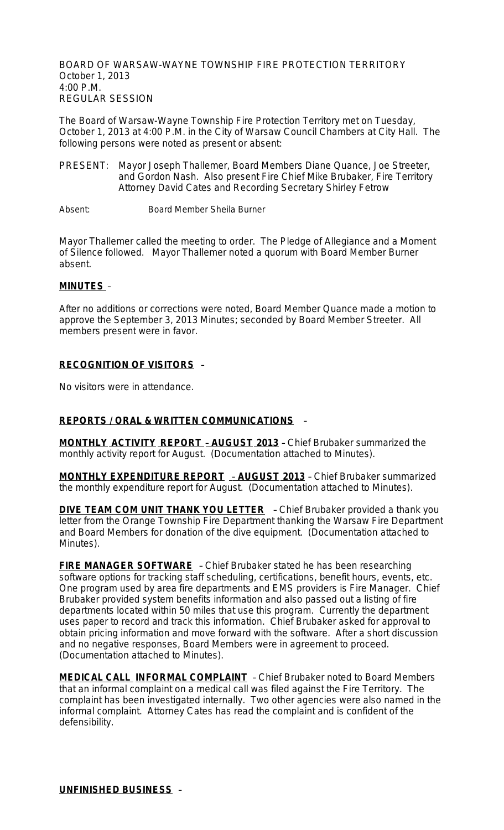BOARD OF WARSAW-WAYNE TOWNSHIP FIRE PROTECTION TERRITORY October 1, 2013 4:00 P.M. REGULAR SESSION

The Board of Warsaw-Wayne Township Fire Protection Territory met on Tuesday, October 1, 2013 at 4:00 P.M. in the City of Warsaw Council Chambers at City Hall. The following persons were noted as present or absent:

PRESENT: Mayor Joseph Thallemer, Board Members Diane Quance, Joe Streeter, and Gordon Nash. Also present Fire Chief Mike Brubaker, Fire Territory Attorney David Cates and Recording Secretary Shirley Fetrow

Absent: Board Member Sheila Burner

Mayor Thallemer called the meeting to order. The Pledge of Allegiance and a Moment of Silence followed. Mayor Thallemer noted a quorum with Board Member Burner absent.

#### **MINUTES** –

After no additions or corrections were noted, Board Member Quance made a motion to approve the September 3, 2013 Minutes; seconded by Board Member Streeter. All members present were in favor.

### **RECOGNITION OF VISITORS** –

No visitors were in attendance.

### **REPORTS / ORAL & WRITTEN COMMUNICATIONS** –

**MONTHLY ACTIVITY REPORT** – **AUGUST 2013** – Chief Brubaker summarized the monthly activity report for August. (Documentation attached to Minutes).

**MONTHLY EXPENDITURE REPORT** – **AUGUST 2013** – Chief Brubaker summarized the monthly expenditure report for August. (Documentation attached to Minutes).

**DIVE TEAM COM UNIT THANK YOU LETTER** - Chief Brubaker provided a thank you letter from the Orange Township Fire Department thanking the Warsaw Fire Department and Board Members for donation of the dive equipment. (Documentation attached to Minutes).

**FIRE MANAGER SOFTWARE** – Chief Brubaker stated he has been researching software options for tracking staff scheduling, certifications, benefit hours, events, etc. One program used by area fire departments and EMS providers is Fire Manager. Chief Brubaker provided system benefits information and also passed out a listing of fire departments located within 50 miles that use this program. Currently the department uses paper to record and track this information. Chief Brubaker asked for approval to obtain pricing information and move forward with the software. After a short discussion and no negative responses, Board Members were in agreement to proceed. (Documentation attached to Minutes).

**MEDICAL CALL INFORMAL COMPLAINT** – Chief Brubaker noted to Board Members that an informal complaint on a medical call was filed against the Fire Territory. The complaint has been investigated internally. Two other agencies were also named in the informal complaint. Attorney Cates has read the complaint and is confident of the defensibility.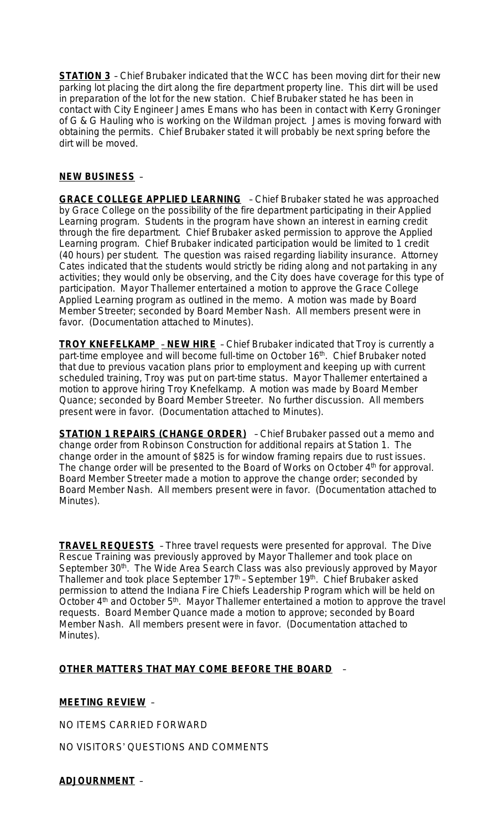**STATION 3** - Chief Brubaker indicated that the WCC has been moving dirt for their new parking lot placing the dirt along the fire department property line. This dirt will be used in preparation of the lot for the new station. Chief Brubaker stated he has been in contact with City Engineer James Emans who has been in contact with Kerry Groninger of G & G Hauling who is working on the Wildman project. James is moving forward with obtaining the permits. Chief Brubaker stated it will probably be next spring before the dirt will be moved.

## **NEW BUSINESS** –

**GRACE COLLEGE APPLIED LEARNING** – Chief Brubaker stated he was approached by Grace College on the possibility of the fire department participating in their Applied Learning program. Students in the program have shown an interest in earning credit through the fire department. Chief Brubaker asked permission to approve the Applied Learning program. Chief Brubaker indicated participation would be limited to 1 credit (40 hours) per student. The question was raised regarding liability insurance. Attorney Cates indicated that the students would strictly be riding along and not partaking in any activities; they would only be observing, and the City does have coverage for this type of participation. Mayor Thallemer entertained a motion to approve the Grace College Applied Learning program as outlined in the memo. A motion was made by Board Member Streeter; seconded by Board Member Nash. All members present were in favor. (Documentation attached to Minutes).

**TROY KNEFELKAMP** – **NEW HIRE** – Chief Brubaker indicated that Troy is currently a part-time employee and will become full-time on October 16<sup>th</sup>. Chief Brubaker noted that due to previous vacation plans prior to employment and keeping up with current scheduled training, Troy was put on part-time status. Mayor Thallemer entertained a motion to approve hiring Troy Knefelkamp. A motion was made by Board Member Quance; seconded by Board Member Streeter. No further discussion. All members present were in favor. (Documentation attached to Minutes).

**STATION 1 REPAIRS (CHANGE ORDER)** – Chief Brubaker passed out a memo and change order from Robinson Construction for additional repairs at Station 1. The change order in the amount of \$825 is for window framing repairs due to rust issues. The change order will be presented to the Board of Works on October 4<sup>th</sup> for approval. Board Member Streeter made a motion to approve the change order; seconded by Board Member Nash. All members present were in favor. (Documentation attached to Minutes).

**TRAVEL REQUESTS** – Three travel requests were presented for approval. The Dive Rescue Training was previously approved by Mayor Thallemer and took place on September 30<sup>th</sup>. The Wide Area Search Class was also previously approved by Mayor Thallemer and took place September 17<sup>th</sup> - September 19<sup>th</sup>. Chief Brubaker asked permission to attend the Indiana Fire Chiefs Leadership Program which will be held on October  $4<sup>th</sup>$  and October  $5<sup>th</sup>$ . Mayor Thallemer entertained a motion to approve the travel requests. Board Member Quance made a motion to approve; seconded by Board Member Nash. All members present were in favor. (Documentation attached to Minutes).

### **OTHER MATTERS THAT MAY COME BEFORE THE BOARD** –

### **MEETING REVIEW** –

NO ITEMS CARRIED FORWARD

NO VISITORS' QUESTIONS AND COMMENTS

### **ADJOURNMENT** –